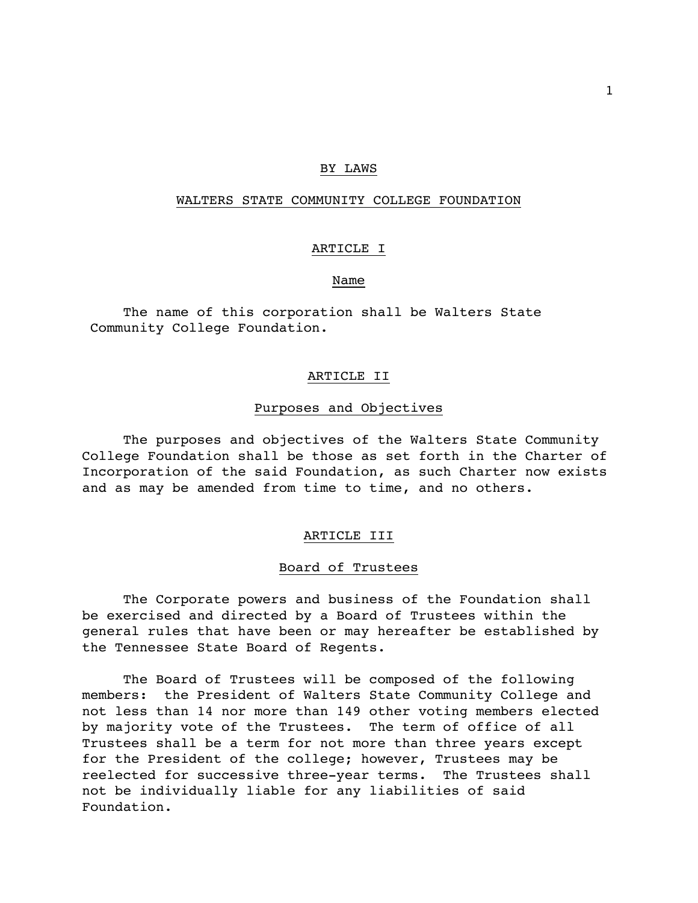# BY LAWS

# WALTERS STATE COMMUNITY COLLEGE FOUNDATION

## ARTICLE I

# Name

The name of this corporation shall be Walters State Community College Foundation.

### ARTICLE II

#### Purposes and Objectives

The purposes and objectives of the Walters State Community College Foundation shall be those as set forth in the Charter of Incorporation of the said Foundation, as such Charter now exists and as may be amended from time to time, and no others.

#### ARTICLE III

#### Board of Trustees

The Corporate powers and business of the Foundation shall be exercised and directed by a Board of Trustees within the general rules that have been or may hereafter be established by the Tennessee State Board of Regents.

The Board of Trustees will be composed of the following members: the President of Walters State Community College and not less than 14 nor more than 149 other voting members elected by majority vote of the Trustees. The term of office of all Trustees shall be a term for not more than three years except for the President of the college; however, Trustees may be reelected for successive three-year terms. The Trustees shall not be individually liable for any liabilities of said Foundation.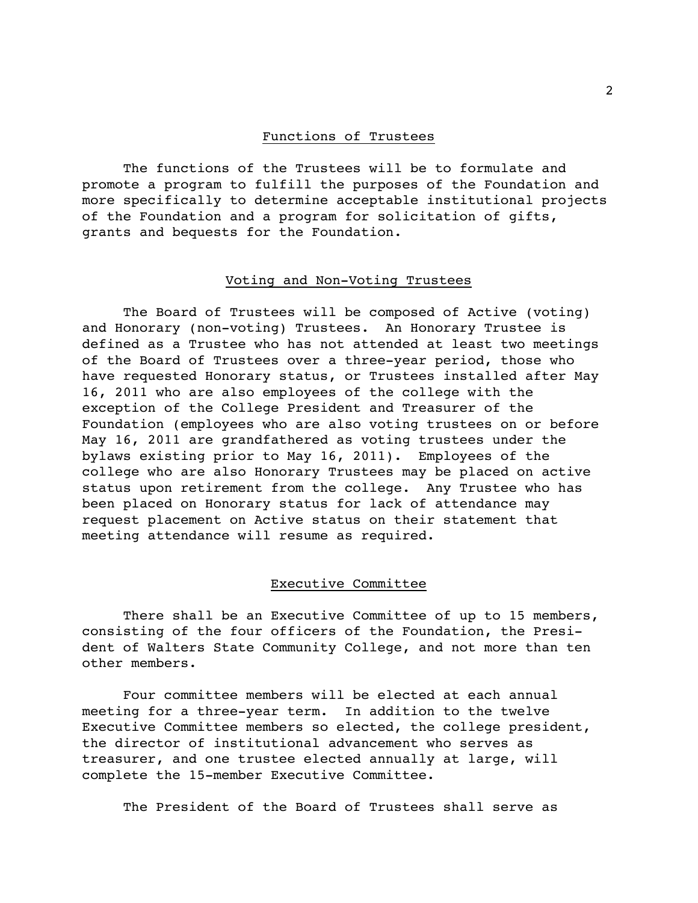### Functions of Trustees

The functions of the Trustees will be to formulate and promote a program to fulfill the purposes of the Foundation and more specifically to determine acceptable institutional projects of the Foundation and a program for solicitation of gifts, grants and bequests for the Foundation.

## Voting and Non-Voting Trustees

The Board of Trustees will be composed of Active (voting) and Honorary (non-voting) Trustees. An Honorary Trustee is defined as a Trustee who has not attended at least two meetings of the Board of Trustees over a three-year period, those who have requested Honorary status, or Trustees installed after May 16, 2011 who are also employees of the college with the exception of the College President and Treasurer of the Foundation (employees who are also voting trustees on or before May 16, 2011 are grandfathered as voting trustees under the bylaws existing prior to May 16, 2011). Employees of the college who are also Honorary Trustees may be placed on active status upon retirement from the college. Any Trustee who has been placed on Honorary status for lack of attendance may request placement on Active status on their statement that meeting attendance will resume as required.

# Executive Committee

There shall be an Executive Committee of up to 15 members, consisting of the four officers of the Foundation, the President of Walters State Community College, and not more than ten other members.

Four committee members will be elected at each annual meeting for a three-year term. In addition to the twelve Executive Committee members so elected, the college president, the director of institutional advancement who serves as treasurer, and one trustee elected annually at large, will complete the 15-member Executive Committee.

The President of the Board of Trustees shall serve as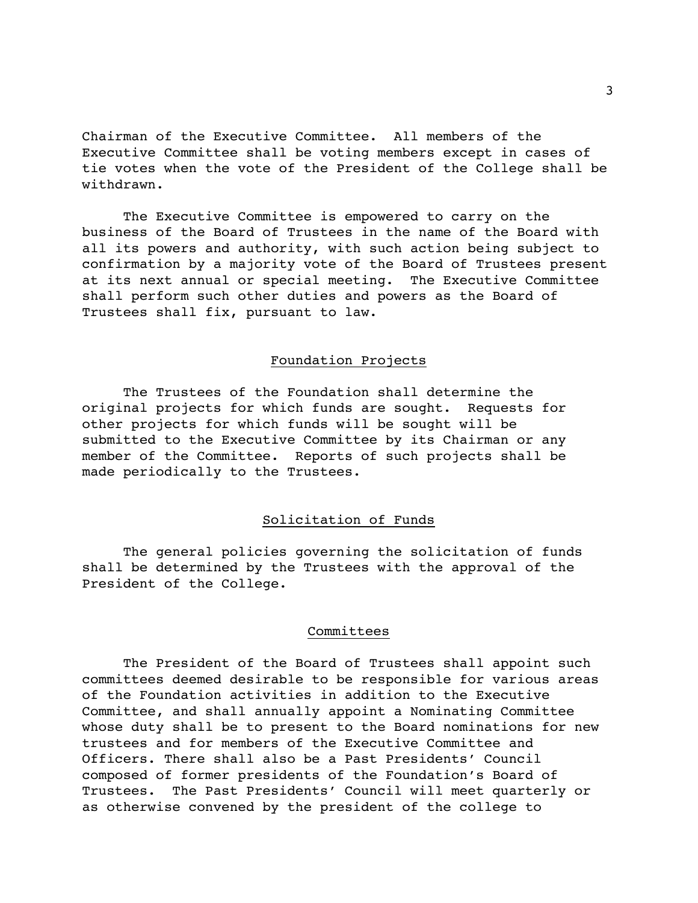Chairman of the Executive Committee. All members of the Executive Committee shall be voting members except in cases of tie votes when the vote of the President of the College shall be withdrawn.

The Executive Committee is empowered to carry on the business of the Board of Trustees in the name of the Board with all its powers and authority, with such action being subject to confirmation by a majority vote of the Board of Trustees present at its next annual or special meeting. The Executive Committee shall perform such other duties and powers as the Board of Trustees shall fix, pursuant to law.

# Foundation Projects

The Trustees of the Foundation shall determine the original projects for which funds are sought. Requests for other projects for which funds will be sought will be submitted to the Executive Committee by its Chairman or any member of the Committee. Reports of such projects shall be made periodically to the Trustees.

# Solicitation of Funds

The general policies governing the solicitation of funds shall be determined by the Trustees with the approval of the President of the College.

### Committees

The President of the Board of Trustees shall appoint such committees deemed desirable to be responsible for various areas of the Foundation activities in addition to the Executive Committee, and shall annually appoint a Nominating Committee whose duty shall be to present to the Board nominations for new trustees and for members of the Executive Committee and Officers. There shall also be a Past Presidents' Council composed of former presidents of the Foundation's Board of Trustees. The Past Presidents' Council will meet quarterly or as otherwise convened by the president of the college to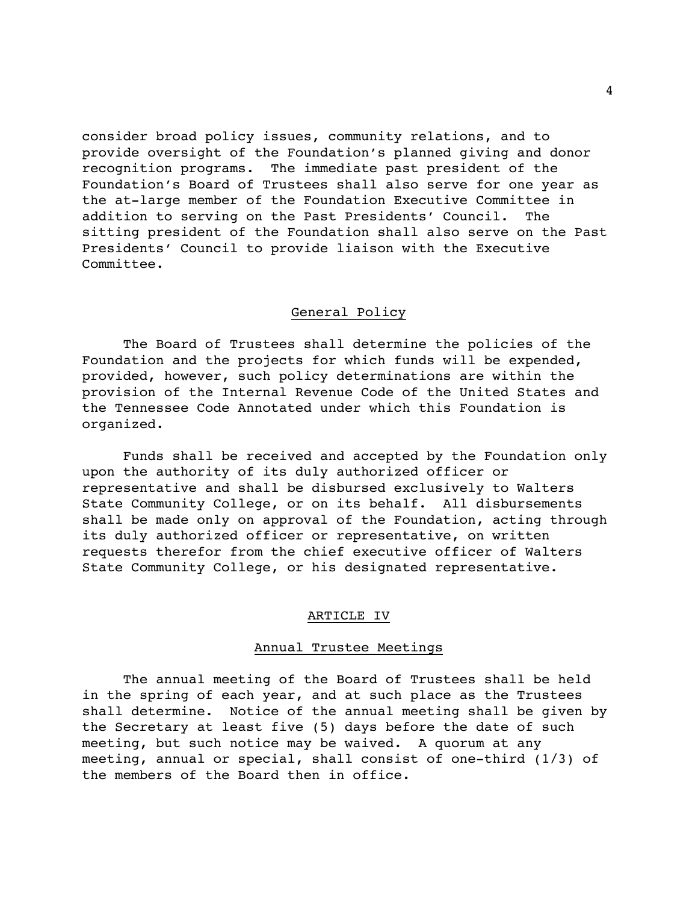consider broad policy issues, community relations, and to provide oversight of the Foundation's planned giving and donor recognition programs. The immediate past president of the Foundation's Board of Trustees shall also serve for one year as the at-large member of the Foundation Executive Committee in addition to serving on the Past Presidents' Council. The sitting president of the Foundation shall also serve on the Past Presidents' Council to provide liaison with the Executive Committee.

## General Policy

The Board of Trustees shall determine the policies of the Foundation and the projects for which funds will be expended, provided, however, such policy determinations are within the provision of the Internal Revenue Code of the United States and the Tennessee Code Annotated under which this Foundation is organized.

Funds shall be received and accepted by the Foundation only upon the authority of its duly authorized officer or representative and shall be disbursed exclusively to Walters State Community College, or on its behalf. All disbursements shall be made only on approval of the Foundation, acting through its duly authorized officer or representative, on written requests therefor from the chief executive officer of Walters State Community College, or his designated representative.

#### ARTICLE IV

### Annual Trustee Meetings

The annual meeting of the Board of Trustees shall be held in the spring of each year, and at such place as the Trustees shall determine. Notice of the annual meeting shall be given by the Secretary at least five (5) days before the date of such meeting, but such notice may be waived. A quorum at any meeting, annual or special, shall consist of one-third (1/3) of the members of the Board then in office.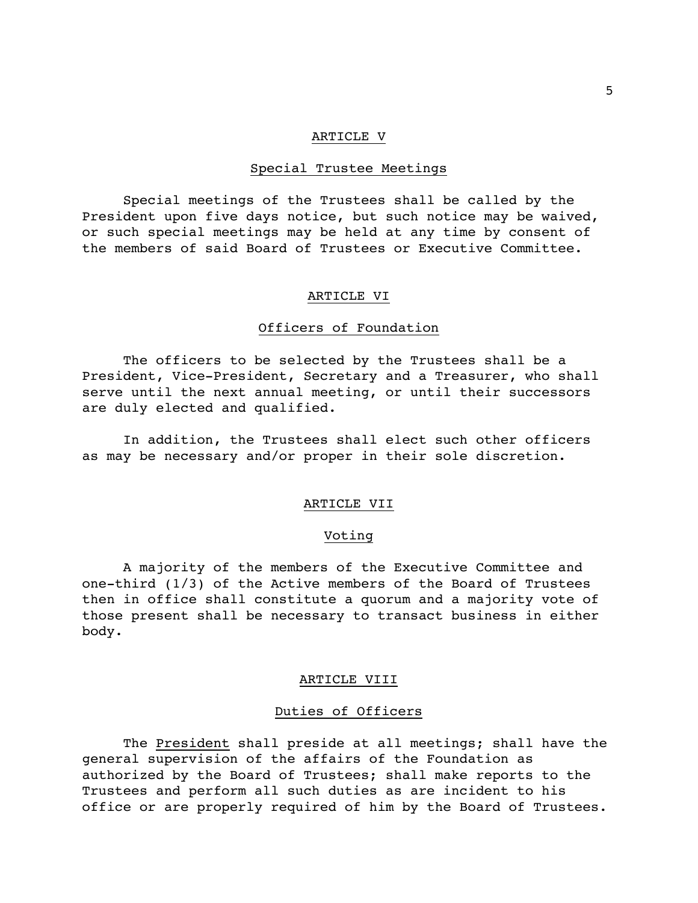### ARTICLE V

## Special Trustee Meetings

Special meetings of the Trustees shall be called by the President upon five days notice, but such notice may be waived, or such special meetings may be held at any time by consent of the members of said Board of Trustees or Executive Committee.

### ARTICLE VI

#### Officers of Foundation

The officers to be selected by the Trustees shall be a President, Vice-President, Secretary and a Treasurer, who shall serve until the next annual meeting, or until their successors are duly elected and qualified.

In addition, the Trustees shall elect such other officers as may be necessary and/or proper in their sole discretion.

# ARTICLE VII

#### Voting

A majority of the members of the Executive Committee and one-third (1/3) of the Active members of the Board of Trustees then in office shall constitute a quorum and a majority vote of those present shall be necessary to transact business in either body.

#### ARTICLE VIII

#### Duties of Officers

The President shall preside at all meetings; shall have the general supervision of the affairs of the Foundation as authorized by the Board of Trustees; shall make reports to the Trustees and perform all such duties as are incident to his office or are properly required of him by the Board of Trustees.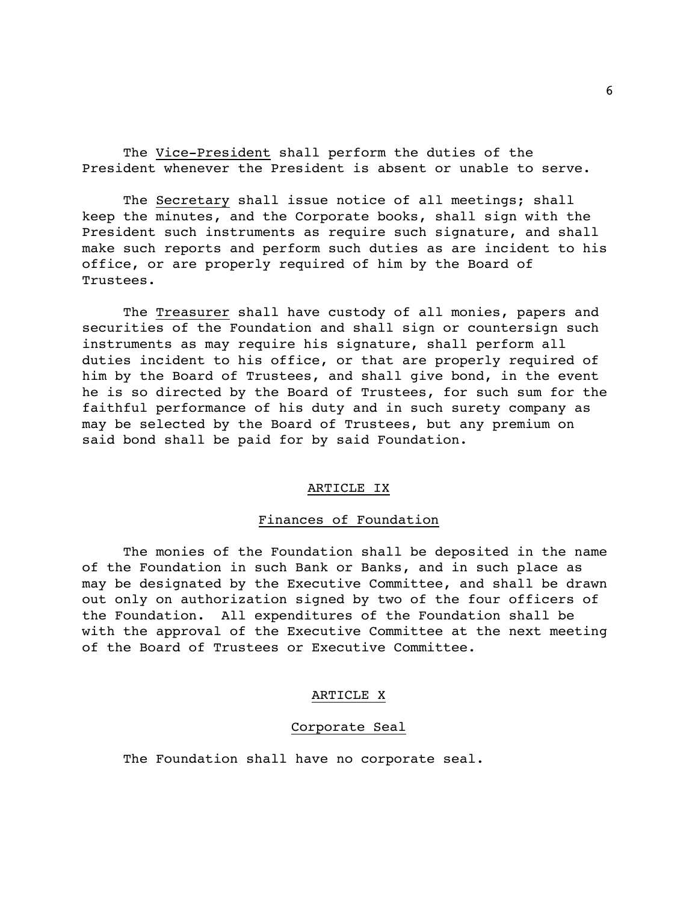The Vice-President shall perform the duties of the President whenever the President is absent or unable to serve.

The Secretary shall issue notice of all meetings; shall keep the minutes, and the Corporate books, shall sign with the President such instruments as require such signature, and shall make such reports and perform such duties as are incident to his office, or are properly required of him by the Board of Trustees.

The Treasurer shall have custody of all monies, papers and securities of the Foundation and shall sign or countersign such instruments as may require his signature, shall perform all duties incident to his office, or that are properly required of him by the Board of Trustees, and shall give bond, in the event he is so directed by the Board of Trustees, for such sum for the faithful performance of his duty and in such surety company as may be selected by the Board of Trustees, but any premium on said bond shall be paid for by said Foundation.

## ARTICLE IX

# Finances of Foundation

The monies of the Foundation shall be deposited in the name of the Foundation in such Bank or Banks, and in such place as may be designated by the Executive Committee, and shall be drawn out only on authorization signed by two of the four officers of the Foundation. All expenditures of the Foundation shall be with the approval of the Executive Committee at the next meeting of the Board of Trustees or Executive Committee.

# ARTICLE X

# Corporate Seal

The Foundation shall have no corporate seal.